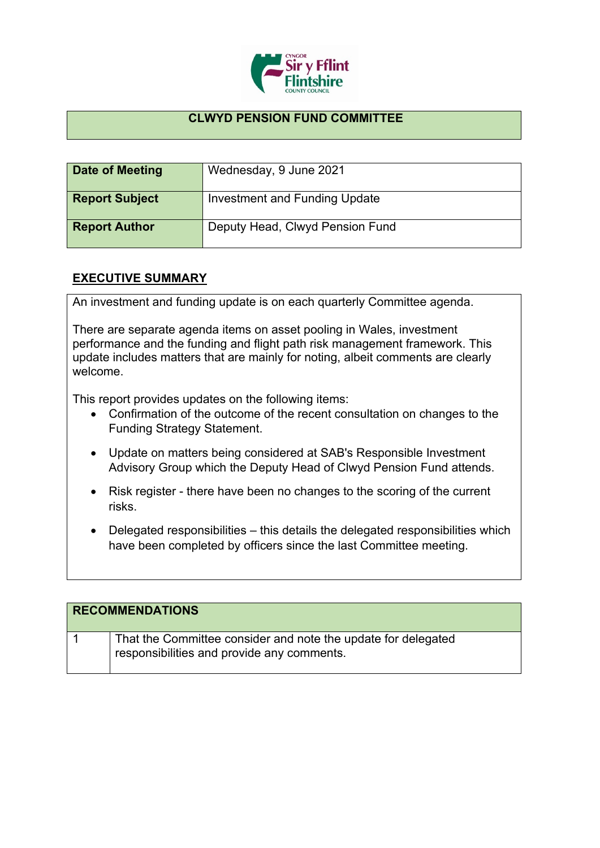

## **CLWYD PENSION FUND COMMITTEE**

| Date of Meeting       | Wednesday, 9 June 2021          |
|-----------------------|---------------------------------|
| <b>Report Subject</b> | Investment and Funding Update   |
| <b>Report Author</b>  | Deputy Head, Clwyd Pension Fund |

## **EXECUTIVE SUMMARY**

An investment and funding update is on each quarterly Committee agenda.

There are separate agenda items on asset pooling in Wales, investment performance and the funding and flight path risk management framework. This update includes matters that are mainly for noting, albeit comments are clearly welcome.

This report provides updates on the following items:

- Confirmation of the outcome of the recent consultation on changes to the Funding Strategy Statement.
- Update on matters being considered at SAB's Responsible Investment Advisory Group which the Deputy Head of Clwyd Pension Fund attends.
- Risk register there have been no changes to the scoring of the current risks.
- Delegated responsibilities this details the delegated responsibilities which have been completed by officers since the last Committee meeting.

| <b>RECOMMENDATIONS</b> |                                                                                                             |
|------------------------|-------------------------------------------------------------------------------------------------------------|
|                        | That the Committee consider and note the update for delegated<br>responsibilities and provide any comments. |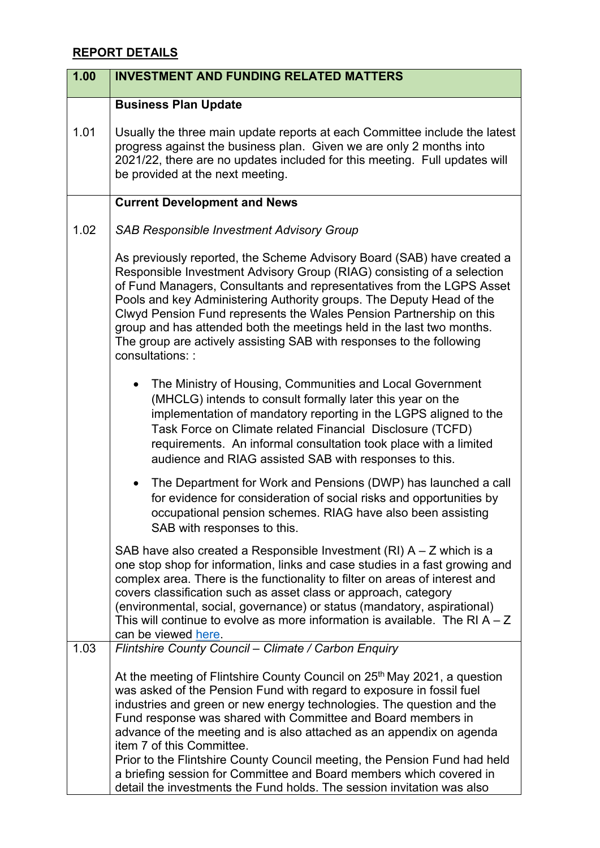## **REPORT DETAILS**

| 1.00 | <b>INVESTMENT AND FUNDING RELATED MATTERS</b>                                                                                                                                                                                                                                                                                                                                                                                                                                                                                                                                                                                            |
|------|------------------------------------------------------------------------------------------------------------------------------------------------------------------------------------------------------------------------------------------------------------------------------------------------------------------------------------------------------------------------------------------------------------------------------------------------------------------------------------------------------------------------------------------------------------------------------------------------------------------------------------------|
|      | <b>Business Plan Update</b>                                                                                                                                                                                                                                                                                                                                                                                                                                                                                                                                                                                                              |
| 1.01 | Usually the three main update reports at each Committee include the latest<br>progress against the business plan. Given we are only 2 months into<br>2021/22, there are no updates included for this meeting. Full updates will<br>be provided at the next meeting.                                                                                                                                                                                                                                                                                                                                                                      |
|      | <b>Current Development and News</b>                                                                                                                                                                                                                                                                                                                                                                                                                                                                                                                                                                                                      |
| 1.02 | <b>SAB Responsible Investment Advisory Group</b>                                                                                                                                                                                                                                                                                                                                                                                                                                                                                                                                                                                         |
|      | As previously reported, the Scheme Advisory Board (SAB) have created a<br>Responsible Investment Advisory Group (RIAG) consisting of a selection<br>of Fund Managers, Consultants and representatives from the LGPS Asset<br>Pools and key Administering Authority groups. The Deputy Head of the<br>Clwyd Pension Fund represents the Wales Pension Partnership on this<br>group and has attended both the meetings held in the last two months.<br>The group are actively assisting SAB with responses to the following<br>consultations: :                                                                                            |
|      | The Ministry of Housing, Communities and Local Government<br>(MHCLG) intends to consult formally later this year on the<br>implementation of mandatory reporting in the LGPS aligned to the<br>Task Force on Climate related Financial Disclosure (TCFD)<br>requirements. An informal consultation took place with a limited<br>audience and RIAG assisted SAB with responses to this.                                                                                                                                                                                                                                                   |
|      | The Department for Work and Pensions (DWP) has launched a call<br>$\bullet$<br>for evidence for consideration of social risks and opportunities by<br>occupational pension schemes. RIAG have also been assisting<br>SAB with responses to this.                                                                                                                                                                                                                                                                                                                                                                                         |
|      | SAB have also created a Responsible Investment $(RI)$ A – Z which is a<br>one stop shop for information, links and case studies in a fast growing and<br>complex area. There is the functionality to filter on areas of interest and<br>covers classification such as asset class or approach, category<br>(environmental, social, governance) or status (mandatory, aspirational)<br>This will continue to evolve as more information is available. The RI $A - Z$<br>can be viewed here.                                                                                                                                               |
| 1.03 | Flintshire County Council - Climate / Carbon Enquiry                                                                                                                                                                                                                                                                                                                                                                                                                                                                                                                                                                                     |
|      | At the meeting of Flintshire County Council on 25 <sup>th</sup> May 2021, a question<br>was asked of the Pension Fund with regard to exposure in fossil fuel<br>industries and green or new energy technologies. The question and the<br>Fund response was shared with Committee and Board members in<br>advance of the meeting and is also attached as an appendix on agenda<br>item 7 of this Committee.<br>Prior to the Flintshire County Council meeting, the Pension Fund had held<br>a briefing session for Committee and Board members which covered in<br>detail the investments the Fund holds. The session invitation was also |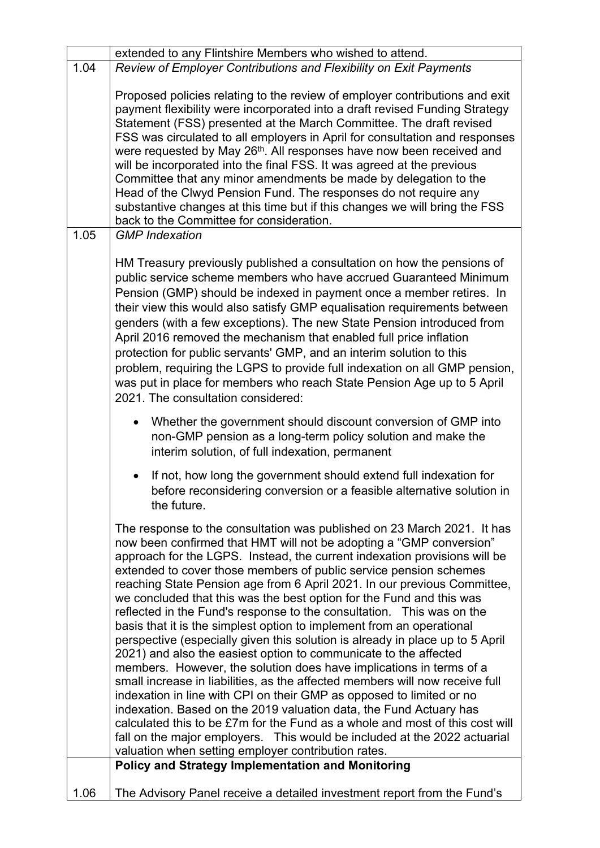|      | extended to any Flintshire Members who wished to attend.                                                                                                                                                                                                                                                                                                                                                                                                                                                                                                                                                                                                                                                                                                                                                                                                                                                                                                                                                                                                                                                                                                                                                                                                                                                                                         |
|------|--------------------------------------------------------------------------------------------------------------------------------------------------------------------------------------------------------------------------------------------------------------------------------------------------------------------------------------------------------------------------------------------------------------------------------------------------------------------------------------------------------------------------------------------------------------------------------------------------------------------------------------------------------------------------------------------------------------------------------------------------------------------------------------------------------------------------------------------------------------------------------------------------------------------------------------------------------------------------------------------------------------------------------------------------------------------------------------------------------------------------------------------------------------------------------------------------------------------------------------------------------------------------------------------------------------------------------------------------|
| 1.04 | Review of Employer Contributions and Flexibility on Exit Payments                                                                                                                                                                                                                                                                                                                                                                                                                                                                                                                                                                                                                                                                                                                                                                                                                                                                                                                                                                                                                                                                                                                                                                                                                                                                                |
|      | Proposed policies relating to the review of employer contributions and exit<br>payment flexibility were incorporated into a draft revised Funding Strategy<br>Statement (FSS) presented at the March Committee. The draft revised<br>FSS was circulated to all employers in April for consultation and responses<br>were requested by May 26 <sup>th</sup> . All responses have now been received and<br>will be incorporated into the final FSS. It was agreed at the previous<br>Committee that any minor amendments be made by delegation to the<br>Head of the Clwyd Pension Fund. The responses do not require any<br>substantive changes at this time but if this changes we will bring the FSS<br>back to the Committee for consideration.                                                                                                                                                                                                                                                                                                                                                                                                                                                                                                                                                                                                |
| 1.05 | <b>GMP</b> Indexation                                                                                                                                                                                                                                                                                                                                                                                                                                                                                                                                                                                                                                                                                                                                                                                                                                                                                                                                                                                                                                                                                                                                                                                                                                                                                                                            |
|      | HM Treasury previously published a consultation on how the pensions of<br>public service scheme members who have accrued Guaranteed Minimum<br>Pension (GMP) should be indexed in payment once a member retires. In<br>their view this would also satisfy GMP equalisation requirements between<br>genders (with a few exceptions). The new State Pension introduced from<br>April 2016 removed the mechanism that enabled full price inflation<br>protection for public servants' GMP, and an interim solution to this<br>problem, requiring the LGPS to provide full indexation on all GMP pension,<br>was put in place for members who reach State Pension Age up to 5 April<br>2021. The consultation considered:                                                                                                                                                                                                                                                                                                                                                                                                                                                                                                                                                                                                                            |
|      | Whether the government should discount conversion of GMP into<br>non-GMP pension as a long-term policy solution and make the<br>interim solution, of full indexation, permanent                                                                                                                                                                                                                                                                                                                                                                                                                                                                                                                                                                                                                                                                                                                                                                                                                                                                                                                                                                                                                                                                                                                                                                  |
|      | If not, how long the government should extend full indexation for<br>before reconsidering conversion or a feasible alternative solution in<br>the future.                                                                                                                                                                                                                                                                                                                                                                                                                                                                                                                                                                                                                                                                                                                                                                                                                                                                                                                                                                                                                                                                                                                                                                                        |
|      | The response to the consultation was published on 23 March 2021. It has<br>now been confirmed that HMT will not be adopting a "GMP conversion"<br>approach for the LGPS. Instead, the current indexation provisions will be<br>extended to cover those members of public service pension schemes<br>reaching State Pension age from 6 April 2021. In our previous Committee,<br>we concluded that this was the best option for the Fund and this was<br>reflected in the Fund's response to the consultation. This was on the<br>basis that it is the simplest option to implement from an operational<br>perspective (especially given this solution is already in place up to 5 April<br>2021) and also the easiest option to communicate to the affected<br>members. However, the solution does have implications in terms of a<br>small increase in liabilities, as the affected members will now receive full<br>indexation in line with CPI on their GMP as opposed to limited or no<br>indexation. Based on the 2019 valuation data, the Fund Actuary has<br>calculated this to be £7m for the Fund as a whole and most of this cost will<br>fall on the major employers. This would be included at the 2022 actuarial<br>valuation when setting employer contribution rates.<br><b>Policy and Strategy Implementation and Monitoring</b> |
| 1.06 | The Advisory Panel receive a detailed investment report from the Fund's                                                                                                                                                                                                                                                                                                                                                                                                                                                                                                                                                                                                                                                                                                                                                                                                                                                                                                                                                                                                                                                                                                                                                                                                                                                                          |
|      |                                                                                                                                                                                                                                                                                                                                                                                                                                                                                                                                                                                                                                                                                                                                                                                                                                                                                                                                                                                                                                                                                                                                                                                                                                                                                                                                                  |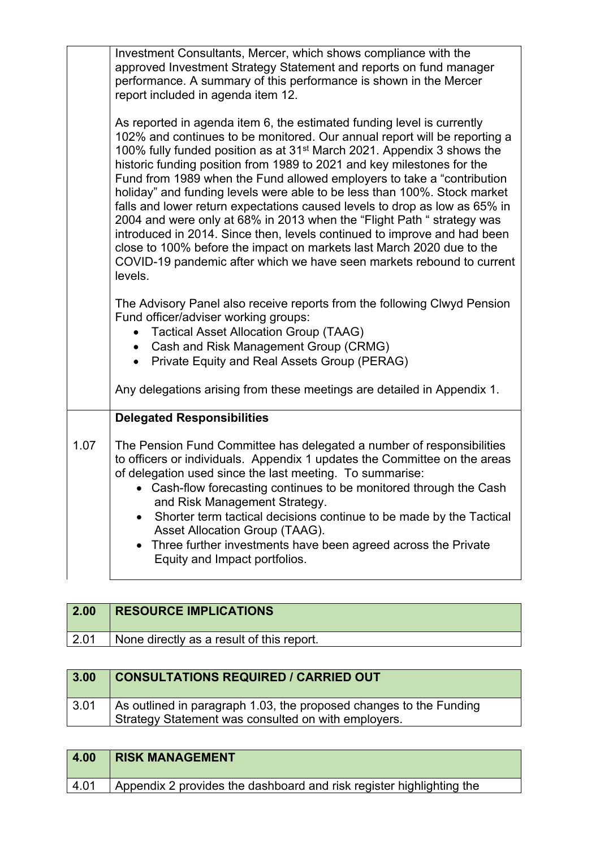| Investment Consultants, Mercer, which shows compliance with the<br>approved Investment Strategy Statement and reports on fund manager<br>performance. A summary of this performance is shown in the Mercer<br>report included in agenda item 12.                                                                                                                                                                                                                                                                                                                                                                                                                                                                                                                                                                                                                           |
|----------------------------------------------------------------------------------------------------------------------------------------------------------------------------------------------------------------------------------------------------------------------------------------------------------------------------------------------------------------------------------------------------------------------------------------------------------------------------------------------------------------------------------------------------------------------------------------------------------------------------------------------------------------------------------------------------------------------------------------------------------------------------------------------------------------------------------------------------------------------------|
| As reported in agenda item 6, the estimated funding level is currently<br>102% and continues to be monitored. Our annual report will be reporting a<br>100% fully funded position as at 31 <sup>st</sup> March 2021. Appendix 3 shows the<br>historic funding position from 1989 to 2021 and key milestones for the<br>Fund from 1989 when the Fund allowed employers to take a "contribution<br>holiday" and funding levels were able to be less than 100%. Stock market<br>falls and lower return expectations caused levels to drop as low as 65% in<br>2004 and were only at 68% in 2013 when the "Flight Path " strategy was<br>introduced in 2014. Since then, levels continued to improve and had been<br>close to 100% before the impact on markets last March 2020 due to the<br>COVID-19 pandemic after which we have seen markets rebound to current<br>levels. |
| The Advisory Panel also receive reports from the following Clwyd Pension<br>Fund officer/adviser working groups:<br><b>Tactical Asset Allocation Group (TAAG)</b><br>• Cash and Risk Management Group (CRMG)<br>Private Equity and Real Assets Group (PERAG)                                                                                                                                                                                                                                                                                                                                                                                                                                                                                                                                                                                                               |
| Any delegations arising from these meetings are detailed in Appendix 1.                                                                                                                                                                                                                                                                                                                                                                                                                                                                                                                                                                                                                                                                                                                                                                                                    |
| <b>Delegated Responsibilities</b>                                                                                                                                                                                                                                                                                                                                                                                                                                                                                                                                                                                                                                                                                                                                                                                                                                          |
| The Pension Fund Committee has delegated a number of responsibilities<br>to officers or individuals. Appendix 1 updates the Committee on the areas<br>of delegation used since the last meeting. To summarise:<br>• Cash-flow forecasting continues to be monitored through the Cash<br>and Risk Management Strategy.<br>Shorter term tactical decisions continue to be made by the Tactical<br>Asset Allocation Group (TAAG).<br>Three further investments have been agreed across the Private<br>Equity and Impact portfolios.                                                                                                                                                                                                                                                                                                                                           |
|                                                                                                                                                                                                                                                                                                                                                                                                                                                                                                                                                                                                                                                                                                                                                                                                                                                                            |

| 2.00 | <b>RESOURCE IMPLICATIONS</b>              |
|------|-------------------------------------------|
| 2.01 | None directly as a result of this report. |
|      |                                           |

| 3.00 | <b>CONSULTATIONS REQUIRED / CARRIED OUT</b>                                                                               |
|------|---------------------------------------------------------------------------------------------------------------------------|
| 3.01 | As outlined in paragraph 1.03, the proposed changes to the Funding<br>Strategy Statement was consulted on with employers. |

| 4.00   | <b>RISK MANAGEMENT</b>                                               |
|--------|----------------------------------------------------------------------|
| $4.01$ | Appendix 2 provides the dashboard and risk register highlighting the |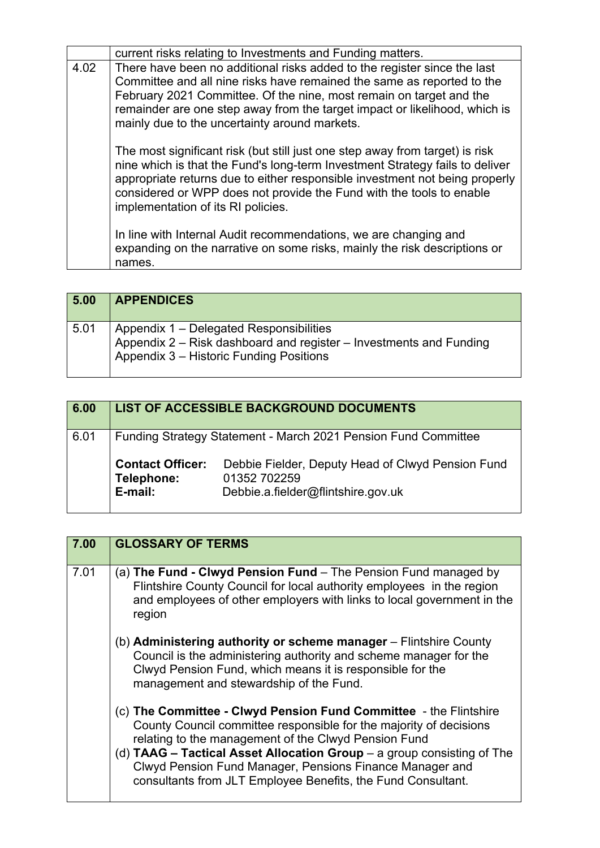|      | current risks relating to Investments and Funding matters.                                                                                                                                                                                                                                                                                                |
|------|-----------------------------------------------------------------------------------------------------------------------------------------------------------------------------------------------------------------------------------------------------------------------------------------------------------------------------------------------------------|
| 4.02 | There have been no additional risks added to the register since the last<br>Committee and all nine risks have remained the same as reported to the<br>February 2021 Committee. Of the nine, most remain on target and the<br>remainder are one step away from the target impact or likelihood, which is<br>mainly due to the uncertainty around markets.  |
|      | The most significant risk (but still just one step away from target) is risk<br>nine which is that the Fund's long-term Investment Strategy fails to deliver<br>appropriate returns due to either responsible investment not being properly<br>considered or WPP does not provide the Fund with the tools to enable<br>implementation of its RI policies. |
|      | In line with Internal Audit recommendations, we are changing and<br>expanding on the narrative on some risks, mainly the risk descriptions or<br>names.                                                                                                                                                                                                   |

| 5.00 | <b>APPENDICES</b>                                                                                                                                        |
|------|----------------------------------------------------------------------------------------------------------------------------------------------------------|
| 5.01 | Appendix 1 – Delegated Responsibilities<br>Appendix 2 – Risk dashboard and register – Investments and Funding<br>Appendix 3 - Historic Funding Positions |

| 6.00 |                                                                | LIST OF ACCESSIBLE BACKGROUND DOCUMENTS                                                                 |  |
|------|----------------------------------------------------------------|---------------------------------------------------------------------------------------------------------|--|
| 6.01 | Funding Strategy Statement - March 2021 Pension Fund Committee |                                                                                                         |  |
|      | <b>Contact Officer:</b><br>Telephone:<br>E-mail:               | Debbie Fielder, Deputy Head of Clwyd Pension Fund<br>01352 702259<br>Debbie.a.fielder@flintshire.gov.uk |  |

| 7.00 | <b>GLOSSARY OF TERMS</b>                                                                                                                                                                                                                                                                                                                                                                                |
|------|---------------------------------------------------------------------------------------------------------------------------------------------------------------------------------------------------------------------------------------------------------------------------------------------------------------------------------------------------------------------------------------------------------|
| 7.01 | (a) The Fund - Clwyd Pension Fund - The Pension Fund managed by<br>Flintshire County Council for local authority employees in the region<br>and employees of other employers with links to local government in the<br>region                                                                                                                                                                            |
|      | (b) Administering authority or scheme manager - Flintshire County<br>Council is the administering authority and scheme manager for the<br>Clwyd Pension Fund, which means it is responsible for the<br>management and stewardship of the Fund.                                                                                                                                                          |
|      | (c) The Committee - Clwyd Pension Fund Committee - the Flintshire<br>County Council committee responsible for the majority of decisions<br>relating to the management of the Clwyd Pension Fund<br>(d) $TAAG$ – Tactical Asset Allocation Group – a group consisting of The<br>Clwyd Pension Fund Manager, Pensions Finance Manager and<br>consultants from JLT Employee Benefits, the Fund Consultant. |